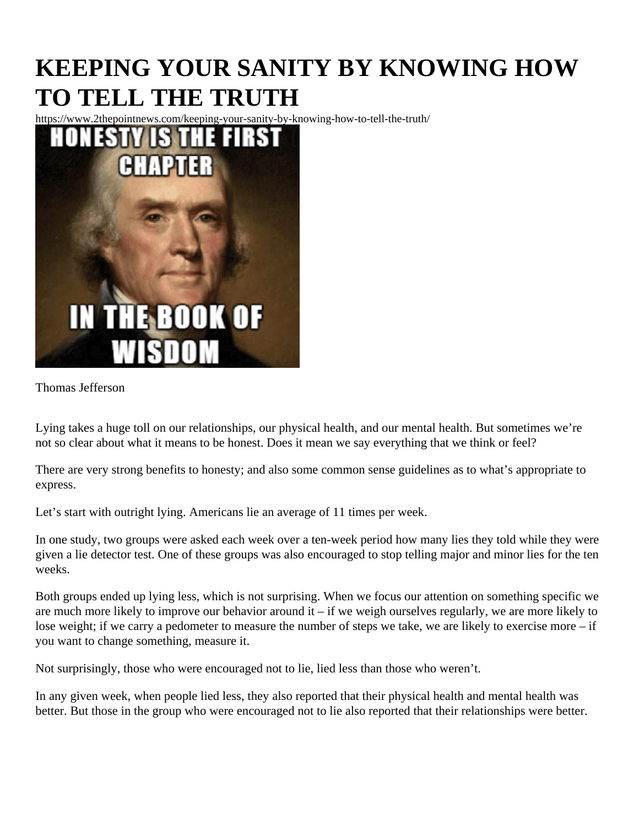## KEEPING YOUR SANITY BY KNOWING HOW TO TELL THE TRUTH

https://www.2thepointnews.com/keeping-your-sanity-by-knowing-how-to-tell-the-truth/

Thomas Jefferson

Lying takes a huge toll on our relationships, our physical health, and our mental health. But sometimes we're not so clear about what it means to be honest. Does it mean we say everything that we think or feel?

There are very strong benefits to honesty; and also some common sense guidelines as to what's appropriate express.

Let's start with outright lying[.](https://psycnet.apa.org/record/1996-01753-006) Americans lie an average bitimes per week.

In [one stud](https://www.apa.org/news/press/releases/2012/08/lying-less)y two groups were asked each week over a ten-week period how many lies they told while they we given a lie detector test. One of these groups was also encouraged to stop telling major and minor lies for the weeks.

Both groups ended up lying less, which is not surprising. When we focus our attention on something specific we are much more likely to improve our behavior around it – if we weigh ourselves regularly, we are more likely t lose weight; if we carry a pedometer to measure the number of steps we take, we are likely to exercise more you want to change something, measure it.

Not surprisingly, those who were encouraged not to lie, lied less than those who weren't.

In any given week, when people lied less, also reported that their physical health and mental health was [better](https://www.webmd.com/mental-health/news/20120806/fewer-lies-better-health). But those in the group who were encouraged not to lie also reported that their relationships were better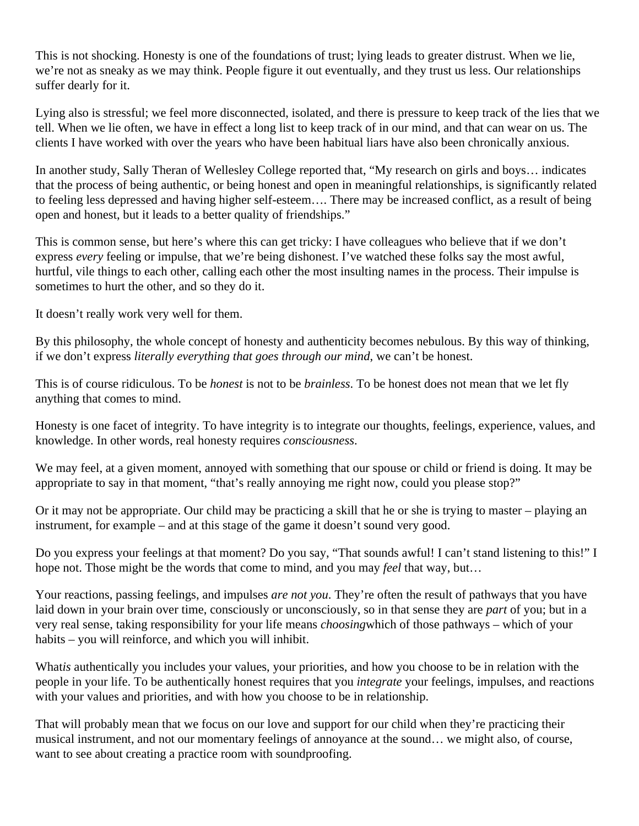This is not shocking. Honesty is one of the foundations of trust; lying leads to greater distrust. When we lie, we're not as sneaky as we may think. People figure it out eventually, and they trust us less. Our relationships suffer dearly for it.

Lying also is stressful; we feel more disconnected, isolated, and there is pressure to keep track of the lies tha tell. When we lie often, we have in effect a long list to keep track of in our mind, and that can wear on us. The clients I have worked with over the years who have been habitual liars have also been chronically anxious.

In anotherstudy, Sally Theran of Wellesley College reported that, "My research on girls and boys... indicates that the process of being authentic, or being honest and open in meaningful relationships, is significantly relat to feeling less depressed and having higher self-esteem.... There may be increased conflict, as a result of be open and honest, but it leads to a better quality of friendships."

This is common sense, but here's where this can get tricky: I have colleagues who believe that if we don't expressevery feeling or impulse, that we're being dishonest. I've watched these folks say the most awful, hurtful, vile things to each other, calling each other the most insulting names in the process. Their impulse is sometimes to hurt the other, and so they do it.

It doesn't really work very well for them.

By this philosophy, the whole concept of honesty and authenticity becomes nebulous. By this way of thinking, if we don't expressiterally everything that goes through our minde can't be honest.

This is of course ridiculous. To benest is not to be brainless To be honest does not mean that we let fly anything that comes to mind.

Honesty is one facet of integrity. To have integrity is to integrate our thoughts, feelings, experience, values, and knowledge. In other words, real honesty requires sciousness

We may feel, at a given moment, annoyed with something that our spouse or child or friend is doing. It may b appropriate to say in that moment, "that's really annoying me right now, could you please stop?"

Or it may not be appropriate. Our child may be practicing a skill that he or she is trying to master – playing an instrument, for example – and at this stage of the game it doesn't sound very good.

Do you express your feelings at that moment? Do you say, "That sounds awful! I can't stand listening to this!" hope not. Those might be the words that come to mind, and yofer that way, but...

Your reactions, passing feelings, and impuls are not you. They're often the result of pathways that you have laid down in your brain over time, consciously or unconsciously, so in that sense they afeyou; but in a very real sense, taking responsibility for your life meanosing which of those pathways – which of your habits – you will reinforce, and which you will inhibit.

What is authentically you includes your values, your priorities, and how you choose to be in relation with the people in your life. To be authentically honest requires that nutegrate your feelings, impulses, and reactions with your values and priorities, and with how you choose to be in relationship.

That will probably mean that we focus on our love and support for our child when they're practicing their musical instrument, and not our momentary feelings of annoyance at the sound… we might also, of course, want to see about creating a practice room with soundproofing.